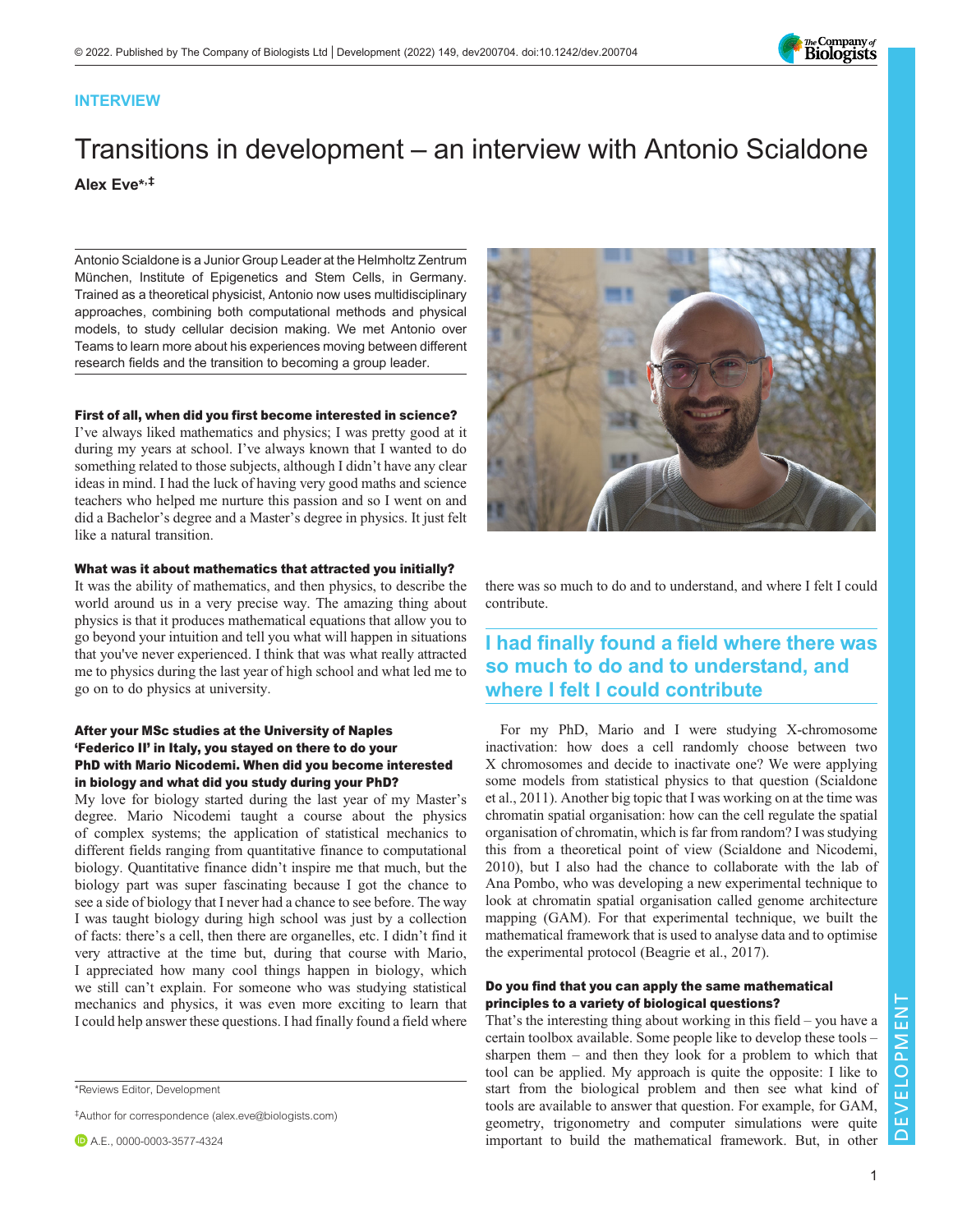

# INTERVIEW

# Transitions in development – an interview with Antonio Scialdone Alex Eve\* ,‡

Antonio Scialdone is a Junior Group Leader at the [Helmholtz Zentrum](https://scholar.google.co.uk/citations?view_op=view_org&hl=en&org=11582889320424263339) Mü[nchen,](https://scholar.google.co.uk/citations?view_op=view_org&hl=en&org=11582889320424263339) Institute of Epigenetics and Stem Cells, in Germany. Trained as a theoretical physicist, Antonio now uses multidisciplinary approaches, combining both computational methods and physical models, to study cellular decision making. We met Antonio over Teams to learn more about his experiences moving between different research fields and the transition to becoming a group leader.

# First of all, when did you first become interested in science?

I've always liked mathematics and physics; I was pretty good at it during my years at school. I've always known that I wanted to do something related to those subjects, although I didn't have any clear ideas in mind. I had the luck of having very good maths and science teachers who helped me nurture this passion and so I went on and did a Bachelor's degree and a Master's degree in physics. It just felt like a natural transition.

# What was it about mathematics that attracted you initially?

It was the ability of mathematics, and then physics, to describe the world around us in a very precise way. The amazing thing about physics is that it produces mathematical equations that allow you to go beyond your intuition and tell you what will happen in situations that you've never experienced. I think that was what really attracted me to physics during the last year of high school and what led me to go on to do physics at university.

# After your MSc studies at the University of Naples 'Federico II' in Italy, you stayed on there to do your PhD with Mario Nicodemi. When did you become interested in biology and what did you study during your PhD?

My love for biology started during the last year of my Master's degree. Mario Nicodemi taught a course about the physics of complex systems; the application of statistical mechanics to different fields ranging from quantitative finance to computational biology. Quantitative finance didn't inspire me that much, but the biology part was super fascinating because I got the chance to see a side of biology that I never had a chance to see before. The way I was taught biology during high school was just by a collection of facts: there's a cell, then there are organelles, etc. I didn't find it very attractive at the time but, during that course with Mario, I appreciated how many cool things happen in biology, which we still can't explain. For someone who was studying statistical mechanics and physics, it was even more exciting to learn that I could help answer these questions. I had finally found a field where

‡Author for correspondence ([alex.eve@biologists.com\)](mailto:alex.eve@biologists.com)



there was so much to do and to understand, and where I felt I could contribute.

# I had finally found a field where there was so much to do and to understand, and where I felt I could contribute

For my PhD, Mario and I were studying X-chromosome inactivation: how does a cell randomly choose between two X chromosomes and decide to inactivate one? We were applying some models from statistical physics to that question ([Scialdone](#page-3-0) [et al., 2011\)](#page-3-0). Another big topic that I was working on at the time was chromatin spatial organisation: how can the cell regulate the spatial organisation of chromatin, which is far from random? I was studying this from a theoretical point of view [\(Scialdone and Nicodemi,](#page-3-0) [2010\)](#page-3-0), but I also had the chance to collaborate with the lab of Ana Pombo, who was developing a new experimental technique to look at chromatin spatial organisation called genome architecture mapping (GAM). For that experimental technique, we built the mathematical framework that is used to analyse data and to optimise the experimental protocol ([Beagrie et al., 2017](#page-3-0)).

# Do you find that you can apply the same mathematical principles to a variety of biological questions?

That's the interesting thing about working in this field – you have a certain toolbox available. Some people like to develop these tools – sharpen them – and then they look for a problem to which that tool can be applied. My approach is quite the opposite: I like to start from the biological problem and then see what kind of tools are available to answer that question. For example, for GAM, geometry, trigonometry and computer simulations were quite important to build the mathematical framework. But, in other

<sup>\*</sup>Reviews Editor, Development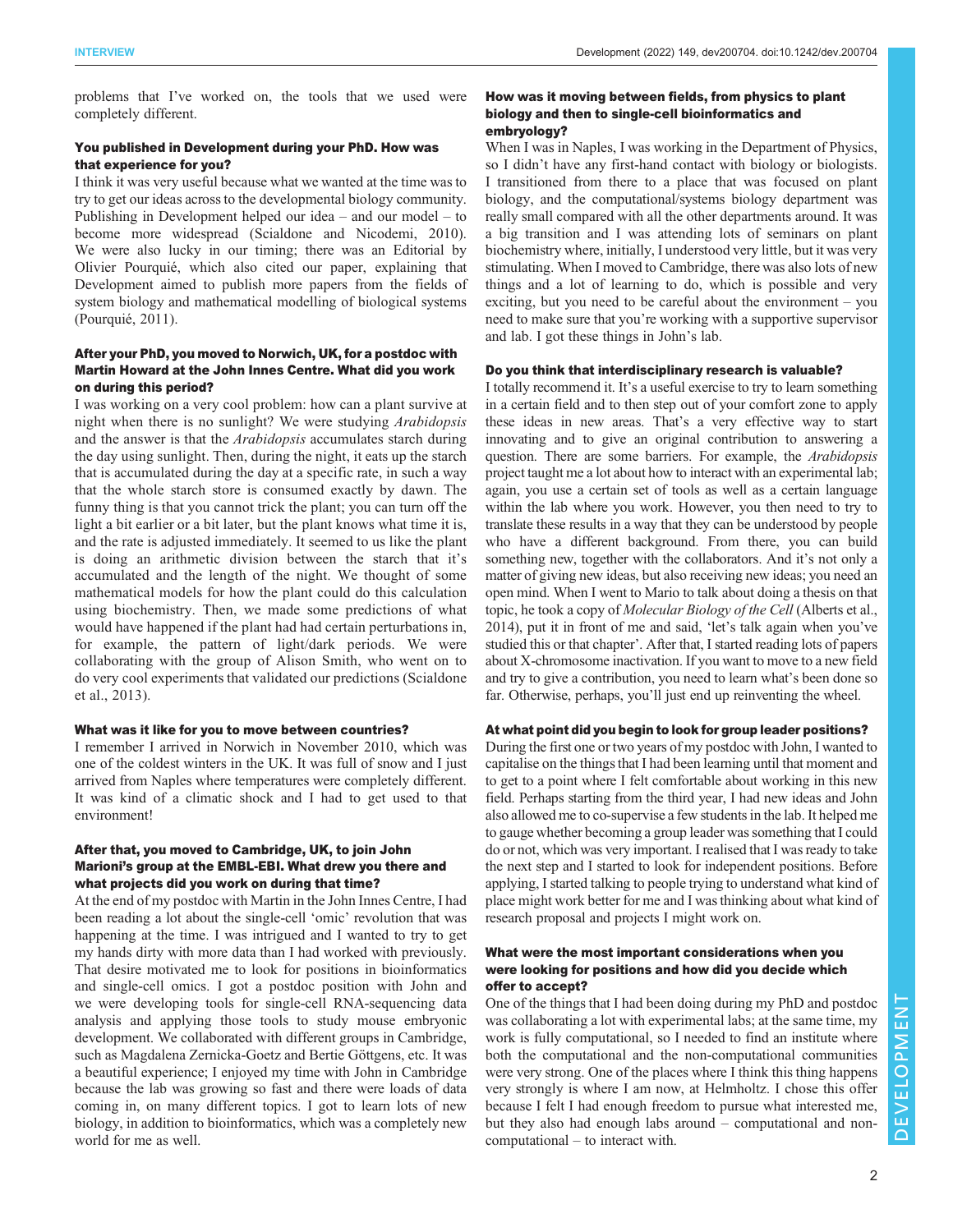problems that I've worked on, the tools that we used were completely different.

#### You published in Development during your PhD. How was that experience for you?

I think it was very useful because what we wanted at the time was to try to get our ideas across to the developmental biology community. Publishing in Development helped our idea – and our model – to become more widespread ([Scialdone and Nicodemi, 2010\)](#page-3-0). We were also lucky in our timing; there was an Editorial by Olivier Pourquié, which also cited our paper, explaining that Development aimed to publish more papers from the fields of system biology and mathematical modelling of biological systems [\(Pourquié, 2011](#page-3-0)).

#### After your PhD, you moved to Norwich, UK, for a postdoc with Martin Howard at the John Innes Centre. What did you work on during this period?

I was working on a very cool problem: how can a plant survive at night when there is no sunlight? We were studying Arabidopsis and the answer is that the Arabidopsis accumulates starch during the day using sunlight. Then, during the night, it eats up the starch that is accumulated during the day at a specific rate, in such a way that the whole starch store is consumed exactly by dawn. The funny thing is that you cannot trick the plant; you can turn off the light a bit earlier or a bit later, but the plant knows what time it is, and the rate is adjusted immediately. It seemed to us like the plant is doing an arithmetic division between the starch that it's accumulated and the length of the night. We thought of some mathematical models for how the plant could do this calculation using biochemistry. Then, we made some predictions of what would have happened if the plant had had certain perturbations in, for example, the pattern of light/dark periods. We were collaborating with the group of Alison Smith, who went on to do very cool experiments that validated our predictions ([Scialdone](#page-3-0) [et al., 2013\)](#page-3-0).

#### What was it like for you to move between countries?

I remember I arrived in Norwich in November 2010, which was one of the coldest winters in the UK. It was full of snow and I just arrived from Naples where temperatures were completely different. It was kind of a climatic shock and I had to get used to that environment!

#### After that, you moved to Cambridge, UK, to join John Marioni's group at the EMBL-EBI. What drew you there and what projects did you work on during that time?

At the end of my postdoc with Martin in the John Innes Centre, I had been reading a lot about the single-cell 'omic' revolution that was happening at the time. I was intrigued and I wanted to try to get my hands dirty with more data than I had worked with previously. That desire motivated me to look for positions in bioinformatics and single-cell omics. I got a postdoc position with John and we were developing tools for single-cell RNA-sequencing data analysis and applying those tools to study mouse embryonic development. We collaborated with different groups in Cambridge, such as Magdalena Zernicka-Goetz and Bertie Göttgens, etc. It was a beautiful experience; I enjoyed my time with John in Cambridge because the lab was growing so fast and there were loads of data coming in, on many different topics. I got to learn lots of new biology, in addition to bioinformatics, which was a completely new world for me as well.

### How was it moving between fields, from physics to plant biology and then to single-cell bioinformatics and embryology?

When I was in Naples, I was working in the Department of Physics, so I didn't have any first-hand contact with biology or biologists. I transitioned from there to a place that was focused on plant biology, and the computational/systems biology department was really small compared with all the other departments around. It was a big transition and I was attending lots of seminars on plant biochemistry where, initially, I understood very little, but it was very stimulating. When I moved to Cambridge, there was also lots of new things and a lot of learning to do, which is possible and very exciting, but you need to be careful about the environment – you need to make sure that you're working with a supportive supervisor and lab. I got these things in John's lab.

#### Do you think that interdisciplinary research is valuable?

I totally recommend it. It's a useful exercise to try to learn something in a certain field and to then step out of your comfort zone to apply these ideas in new areas. That's a very effective way to start innovating and to give an original contribution to answering a question. There are some barriers. For example, the Arabidopsis project taught me a lot about how to interact with an experimental lab; again, you use a certain set of tools as well as a certain language within the lab where you work. However, you then need to try to translate these results in a way that they can be understood by people who have a different background. From there, you can build something new, together with the collaborators. And it's not only a matter of giving new ideas, but also receiving new ideas; you need an open mind. When I went to Mario to talk about doing a thesis on that topic, he took a copy of Molecular Biology of the Cell ([Alberts et al.,](#page-3-0) [2014\)](#page-3-0), put it in front of me and said, 'let's talk again when you've studied this or that chapter'. After that, I started reading lots of papers about X-chromosome inactivation. If you want to move to a new field and try to give a contribution, you need to learn what's been done so far. Otherwise, perhaps, you'll just end up reinventing the wheel.

#### At what point did you begin to look for group leader positions?

During the first one or two years of my postdoc with John, I wanted to capitalise on the things that I had been learning until that moment and to get to a point where I felt comfortable about working in this new field. Perhaps starting from the third year, I had new ideas and John also allowed me to co-supervise a few students in the lab. It helped me to gauge whether becoming a group leader was something that I could do or not, which was very important. I realised that I was ready to take the next step and I started to look for independent positions. Before applying, I started talking to people trying to understand what kind of place might work better for me and I was thinking about what kind of research proposal and projects I might work on.

#### What were the most important considerations when you were looking for positions and how did you decide which offer to accept?

One of the things that I had been doing during my PhD and postdoc was collaborating a lot with experimental labs; at the same time, my work is fully computational, so I needed to find an institute where both the computational and the non-computational communities were very strong. One of the places where I think this thing happens very strongly is where I am now, at Helmholtz. I chose this offer because I felt I had enough freedom to pursue what interested me, but they also had enough labs around – computational and noncomputational – to interact with.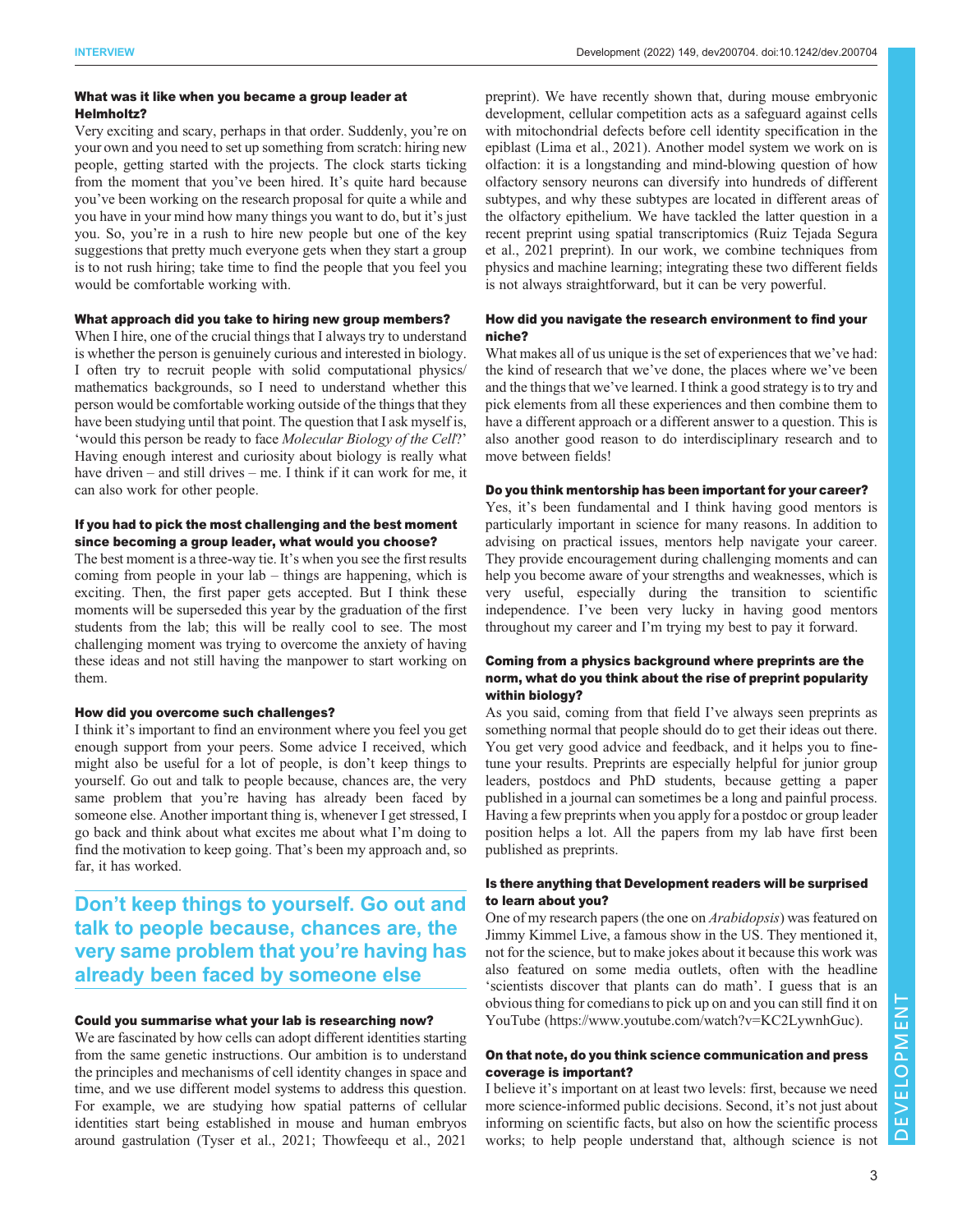#### What was it like when you became a group leader at Helmholtz?

Very exciting and scary, perhaps in that order. Suddenly, you're on your own and you need to set up something from scratch: hiring new people, getting started with the projects. The clock starts ticking from the moment that you've been hired. It's quite hard because you've been working on the research proposal for quite a while and you have in your mind how many things you want to do, but it's just you. So, you're in a rush to hire new people but one of the key suggestions that pretty much everyone gets when they start a group is to not rush hiring; take time to find the people that you feel you would be comfortable working with.

#### What approach did you take to hiring new group members?

When I hire, one of the crucial things that I always try to understand is whether the person is genuinely curious and interested in biology. I often try to recruit people with solid computational physics/ mathematics backgrounds, so I need to understand whether this person would be comfortable working outside of the things that they have been studying until that point. The question that I ask myself is, 'would this person be ready to face Molecular Biology of the Cell?' Having enough interest and curiosity about biology is really what have driven – and still drives – me. I think if it can work for me, it can also work for other people.

#### If you had to pick the most challenging and the best moment since becoming a group leader, what would you choose?

The best moment is a three-way tie. It's when you see the first results coming from people in your lab – things are happening, which is exciting. Then, the first paper gets accepted. But I think these moments will be superseded this year by the graduation of the first students from the lab; this will be really cool to see. The most challenging moment was trying to overcome the anxiety of having these ideas and not still having the manpower to start working on them.

#### How did you overcome such challenges?

I think it's important to find an environment where you feel you get enough support from your peers. Some advice I received, which might also be useful for a lot of people, is don't keep things to yourself. Go out and talk to people because, chances are, the very same problem that you're having has already been faced by someone else. Another important thing is, whenever I get stressed, I go back and think about what excites me about what I'm doing to find the motivation to keep going. That's been my approach and, so far, it has worked.

# Don't keep things to yourself. Go out and talk to people because, chances are, the very same problem that you're having has already been faced by someone else

#### Could you summarise what your lab is researching now?

We are fascinated by how cells can adopt different identities starting from the same genetic instructions. Our ambition is to understand the principles and mechanisms of cell identity changes in space and time, and we use different model systems to address this question. For example, we are studying how spatial patterns of cellular identities start being established in mouse and human embryos around gastrulation ([Tyser et al., 2021](#page-3-0); [Thowfeequ et al., 2021](#page-3-0)

[preprint\)](#page-3-0). We have recently shown that, during mouse embryonic development, cellular competition acts as a safeguard against cells with mitochondrial defects before cell identity specification in the epiblast [\(Lima et al., 2021](#page-3-0)). Another model system we work on is olfaction: it is a longstanding and mind-blowing question of how olfactory sensory neurons can diversify into hundreds of different subtypes, and why these subtypes are located in different areas of the olfactory epithelium. We have tackled the latter question in a recent preprint using spatial transcriptomics ([Ruiz Tejada Segura](#page-3-0) [et al., 2021 preprint\)](#page-3-0). In our work, we combine techniques from physics and machine learning; integrating these two different fields is not always straightforward, but it can be very powerful.

#### How did you navigate the research environment to find your niche?

What makes all of us unique is the set of experiences that we've had: the kind of research that we've done, the places where we've been and the things that we've learned. I think a good strategy is to try and pick elements from all these experiences and then combine them to have a different approach or a different answer to a question. This is also another good reason to do interdisciplinary research and to move between fields!

### Do you think mentorship has been important for your career?

Yes, it's been fundamental and I think having good mentors is particularly important in science for many reasons. In addition to advising on practical issues, mentors help navigate your career. They provide encouragement during challenging moments and can help you become aware of your strengths and weaknesses, which is very useful, especially during the transition to scientific independence. I've been very lucky in having good mentors throughout my career and I'm trying my best to pay it forward.

### Coming from a physics background where preprints are the norm, what do you think about the rise of preprint popularity within biology?

As you said, coming from that field I've always seen preprints as something normal that people should do to get their ideas out there. You get very good advice and feedback, and it helps you to finetune your results. Preprints are especially helpful for junior group leaders, postdocs and PhD students, because getting a paper published in a journal can sometimes be a long and painful process. Having a few preprints when you apply for a postdoc or group leader position helps a lot. All the papers from my lab have first been published as preprints.

# Is there anything that Development readers will be surprised to learn about you?

One of my research papers (the one on Arabidopsis) was featured on Jimmy Kimmel Live, a famous show in the US. They mentioned it, not for the science, but to make jokes about it because this work was also featured on some media outlets, often with the headline 'scientists discover that plants can do math'. I guess that is an obvious thing for comedians to pick up on and you can still find it on YouTube [\(https://www.youtube.com/watch?v=KC2LywnhGuc](https://www.youtube.com/watch?v=KC2LywnhGuc)).

#### On that note, do you think science communication and press coverage is important?

I believe it's important on at least two levels: first, because we need more science-informed public decisions. Second, it's not just about informing on scientific facts, but also on how the scientific process works; to help people understand that, although science is not